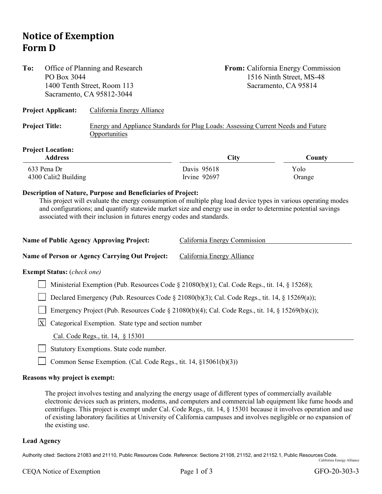## **Notice of Exemption Form D**

| To:                                                                                                                       | PO Box 3044                                                                                         | Office of Planning and Research<br>1400 Tenth Street, Room 113<br>Sacramento, CA 95812-3044 |                              | From: California Energy Commission<br>1516 Ninth Street, MS-48<br>Sacramento, CA 95814 |  |  |
|---------------------------------------------------------------------------------------------------------------------------|-----------------------------------------------------------------------------------------------------|---------------------------------------------------------------------------------------------|------------------------------|----------------------------------------------------------------------------------------|--|--|
|                                                                                                                           | <b>Project Applicant:</b>                                                                           | California Energy Alliance                                                                  |                              |                                                                                        |  |  |
| <b>Project Title:</b><br>Opportunities                                                                                    |                                                                                                     | Energy and Appliance Standards for Plug Loads: Assessing Current Needs and Future           |                              |                                                                                        |  |  |
|                                                                                                                           | <b>Project Location:</b><br><b>Address</b>                                                          |                                                                                             | City                         | County                                                                                 |  |  |
| 633 Pena Dr                                                                                                               |                                                                                                     |                                                                                             | Davis 95618                  | Yolo                                                                                   |  |  |
| 4300 Calit2 Building                                                                                                      |                                                                                                     |                                                                                             | Irvine 92697                 | Orange                                                                                 |  |  |
| associated with their inclusion in futures energy codes and standards.<br><b>Name of Public Agency Approving Project:</b> |                                                                                                     |                                                                                             | California Energy Commission |                                                                                        |  |  |
|                                                                                                                           |                                                                                                     | Name of Person or Agency Carrying Out Project:                                              | California Energy Alliance   |                                                                                        |  |  |
|                                                                                                                           | <b>Exempt Status:</b> (check one)                                                                   |                                                                                             |                              |                                                                                        |  |  |
|                                                                                                                           | Ministerial Exemption (Pub. Resources Code $\S$ 21080(b)(1); Cal. Code Regs., tit. 14, $\S$ 15268); |                                                                                             |                              |                                                                                        |  |  |
| Declared Emergency (Pub. Resources Code § 21080(b)(3); Cal. Code Regs., tit. 14, § 15269(a));                             |                                                                                                     |                                                                                             |                              |                                                                                        |  |  |
|                                                                                                                           | Emergency Project (Pub. Resources Code § 21080(b)(4); Cal. Code Regs., tit. 14, § 15269(b)(c));     |                                                                                             |                              |                                                                                        |  |  |
|                                                                                                                           | $\vert X \vert$<br>Categorical Exemption. State type and section number                             |                                                                                             |                              |                                                                                        |  |  |
|                                                                                                                           | Cal. Code Regs., tit. 14, § 15301                                                                   |                                                                                             |                              |                                                                                        |  |  |
|                                                                                                                           |                                                                                                     | Statutory Exemptions. State code number.                                                    |                              |                                                                                        |  |  |

Common Sense Exemption. (Cal. Code Regs., tit. 14, §15061(b)(3))

## **Reasons why project is exempt:**

The project involves testing and analyzing the energy usage of different types of commercially available electronic devices such as printers, modems, and computers and commercial lab equipment like fume hoods and centrifuges. This project is exempt under Cal. Code Regs., tit. 14, § 15301 because it involves operation and use of existing laboratory facilities at University of California campuses and involves negligible or no expansion of the existing use.

## **Lead Agency**

 $\mathbf{I}$ 

Authority cited: Sections 21083 and 21110, Public Resources Code. Reference: Sections 21108, 21152, and 21152.1, Public Resources Code. California Energy Alliance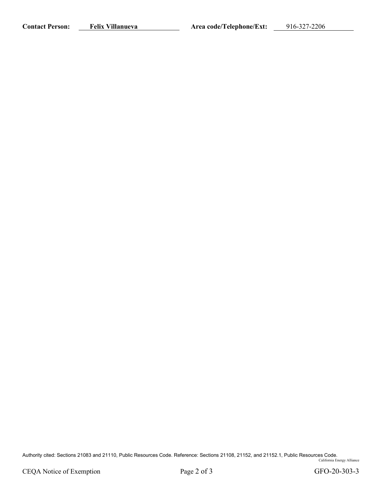Contact Person: Felix Villanueva<br> **Area code/Telephone/Ext:** 916-327-2206

Authority cited: Sections 21083 and 21110, Public Resources Code. Reference: Sections 21108, 21152, and 21152.1, Public Resources Code. California Energy Alliance